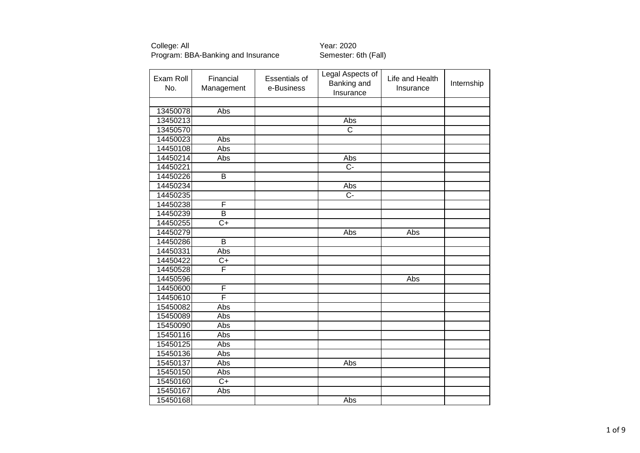College: All<br>Program: BBA-Banking and Insurance Semester: 6th (Fall) Program: BBA-Banking and Insurance

| Exam Roll<br>No. | Financial<br>Management | <b>Essentials of</b><br>e-Business | Legal Aspects of<br>Banking and<br>Insurance | Life and Health<br>Insurance | Internship |
|------------------|-------------------------|------------------------------------|----------------------------------------------|------------------------------|------------|
|                  |                         |                                    |                                              |                              |            |
| 13450078         | Abs                     |                                    |                                              |                              |            |
| 13450213         |                         |                                    | Abs                                          |                              |            |
| 13450570         |                         |                                    | $\overline{C}$                               |                              |            |
| 14450023         | Abs                     |                                    |                                              |                              |            |
| 14450108         | Abs                     |                                    |                                              |                              |            |
| 14450214         | Abs                     |                                    | Abs                                          |                              |            |
| 14450221         |                         |                                    | $\overline{C}$ -                             |                              |            |
| 14450226         | $\overline{B}$          |                                    |                                              |                              |            |
| 14450234         |                         |                                    | Abs                                          |                              |            |
| 14450235         |                         |                                    | $\overline{C}$                               |                              |            |
| 14450238         | F                       |                                    |                                              |                              |            |
| 14450239         | B                       |                                    |                                              |                              |            |
| 14450255         | $\overline{C}$          |                                    |                                              |                              |            |
| 14450279         |                         |                                    | Abs                                          | Abs                          |            |
| 14450286         | B                       |                                    |                                              |                              |            |
| 14450331         | Abs                     |                                    |                                              |                              |            |
| 14450422         | $C+$                    |                                    |                                              |                              |            |
| 14450528         | F                       |                                    |                                              |                              |            |
| 14450596         |                         |                                    |                                              | Abs                          |            |
| 14450600         | F                       |                                    |                                              |                              |            |
| 14450610         | F                       |                                    |                                              |                              |            |
| 15450082         | Abs                     |                                    |                                              |                              |            |
| 15450089         | Abs                     |                                    |                                              |                              |            |
| 15450090         | Abs                     |                                    |                                              |                              |            |
| 15450116         | Abs                     |                                    |                                              |                              |            |
| 15450125         | Abs                     |                                    |                                              |                              |            |
| 15450136         | Abs                     |                                    |                                              |                              |            |
| 15450137         | Abs                     |                                    | Abs                                          |                              |            |
| 15450150         | Abs                     |                                    |                                              |                              |            |
| 15450160         | $\overline{C+}$         |                                    |                                              |                              |            |
| 15450167         | Abs                     |                                    |                                              |                              |            |
| 15450168         |                         |                                    | Abs                                          |                              |            |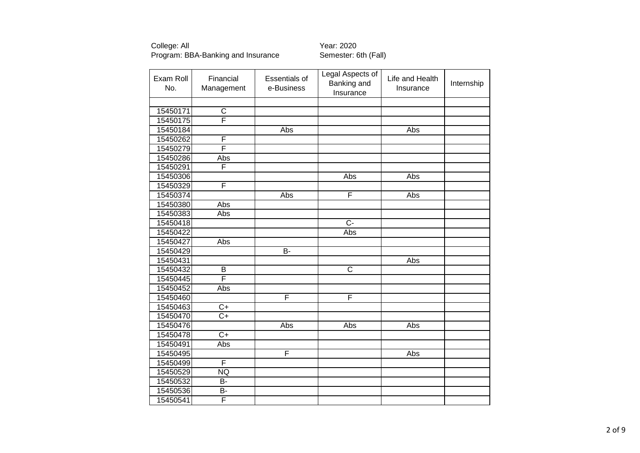College: All<br>Program: BBA-Banking and Insurance Semester: 6th (Fall) Program: BBA-Banking and Insurance

| Exam Roll<br>No. | Financial<br>Management | <b>Essentials of</b><br>e-Business | Legal Aspects of<br>Banking and<br>Insurance | Life and Health<br>Insurance | Internship |
|------------------|-------------------------|------------------------------------|----------------------------------------------|------------------------------|------------|
|                  |                         |                                    |                                              |                              |            |
| 15450171         | $\mathsf C$             |                                    |                                              |                              |            |
| 15450175         | $\overline{\mathsf{F}}$ |                                    |                                              |                              |            |
| 15450184         |                         | Abs                                |                                              | Abs                          |            |
| 15450262         | F                       |                                    |                                              |                              |            |
| 15450279         | F                       |                                    |                                              |                              |            |
| 15450286         | Abs                     |                                    |                                              |                              |            |
| 15450291         | F                       |                                    |                                              |                              |            |
| 15450306         |                         |                                    | Abs                                          | Abs                          |            |
| 15450329         | F                       |                                    |                                              |                              |            |
| 15450374         |                         | Abs                                | F                                            | Abs                          |            |
| 15450380         | Abs                     |                                    |                                              |                              |            |
| 15450383         | Abs                     |                                    |                                              |                              |            |
| 15450418         |                         |                                    | $\overline{C}$                               |                              |            |
| 15450422         |                         |                                    | Abs                                          |                              |            |
| 15450427         | Abs                     |                                    |                                              |                              |            |
| 15450429         |                         | B-                                 |                                              |                              |            |
| 15450431         |                         |                                    |                                              | Abs                          |            |
| 15450432         | B                       |                                    | $\overline{\text{c}}$                        |                              |            |
| 15450445         | F                       |                                    |                                              |                              |            |
| 15450452         | Abs                     |                                    |                                              |                              |            |
| 15450460         |                         | F                                  | F                                            |                              |            |
| 15450463         | $C+$                    |                                    |                                              |                              |            |
| 15450470         | $\overline{C+}$         |                                    |                                              |                              |            |
| 15450476         |                         | Abs                                | Abs                                          | Abs                          |            |
| 15450478         | $C+$                    |                                    |                                              |                              |            |
| 15450491         | Abs                     |                                    |                                              |                              |            |
| 15450495         |                         | F                                  |                                              | Abs                          |            |
| 15450499         | F                       |                                    |                                              |                              |            |
| 15450529         | NQ                      |                                    |                                              |                              |            |
| 15450532         | <b>B-</b>               |                                    |                                              |                              |            |
| 15450536         | B-                      |                                    |                                              |                              |            |
| 15450541         | F                       |                                    |                                              |                              |            |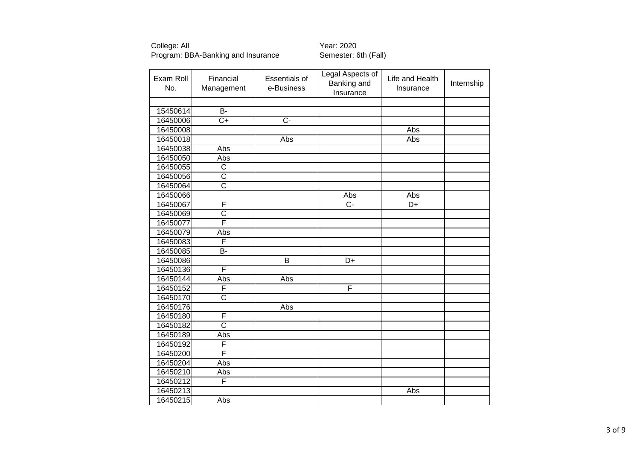| Exam Roll<br>No. | Financial<br>Management | Essentials of<br>e-Business | <b>Legal Aspects of</b><br>Banking and<br>Insurance | Life and Health<br>Insurance | Internship |
|------------------|-------------------------|-----------------------------|-----------------------------------------------------|------------------------------|------------|
|                  |                         |                             |                                                     |                              |            |
| 15450614         | $\overline{B}$          |                             |                                                     |                              |            |
| 16450006         | $\overline{C+}$         | $\overline{C}$ -            |                                                     |                              |            |
| 16450008         |                         |                             |                                                     | Abs                          |            |
| 16450018         |                         | Abs                         |                                                     | Abs                          |            |
| 16450038         | Abs                     |                             |                                                     |                              |            |
| 16450050         | Abs                     |                             |                                                     |                              |            |
| 16450055         | $\overline{\text{c}}$   |                             |                                                     |                              |            |
| 16450056         | $\overline{\text{c}}$   |                             |                                                     |                              |            |
| 16450064         | $\overline{\text{c}}$   |                             |                                                     |                              |            |
| 16450066         |                         |                             | Abs                                                 | Abs                          |            |
| 16450067         | F                       |                             | $\overline{C}$ -                                    | D+                           |            |
| 16450069         | $\overline{\text{c}}$   |                             |                                                     |                              |            |
| 16450077         | F                       |                             |                                                     |                              |            |
| 16450079         | Abs                     |                             |                                                     |                              |            |
| 16450083         | F                       |                             |                                                     |                              |            |
| 16450085         | <b>B-</b>               |                             |                                                     |                              |            |
| 16450086         |                         | $\overline{\mathsf{B}}$     | $\overline{D+}$                                     |                              |            |
| 16450136         | F                       |                             |                                                     |                              |            |
| 16450144         | Abs                     | Abs                         |                                                     |                              |            |
| 16450152         | F                       |                             | F                                                   |                              |            |
| 16450170         | $\overline{\text{c}}$   |                             |                                                     |                              |            |
| 16450176         |                         | Abs                         |                                                     |                              |            |
| 16450180         | F                       |                             |                                                     |                              |            |
| 16450182         | $\overline{\text{c}}$   |                             |                                                     |                              |            |
| 16450189         | Abs                     |                             |                                                     |                              |            |
| 16450192         | F                       |                             |                                                     |                              |            |
| 16450200         | F                       |                             |                                                     |                              |            |
| 16450204         | Abs                     |                             |                                                     |                              |            |
| 16450210         | Abs                     |                             |                                                     |                              |            |
| 16450212         | F                       |                             |                                                     |                              |            |
| 16450213         |                         |                             |                                                     | Abs                          |            |
| 16450215         | Abs                     |                             |                                                     |                              |            |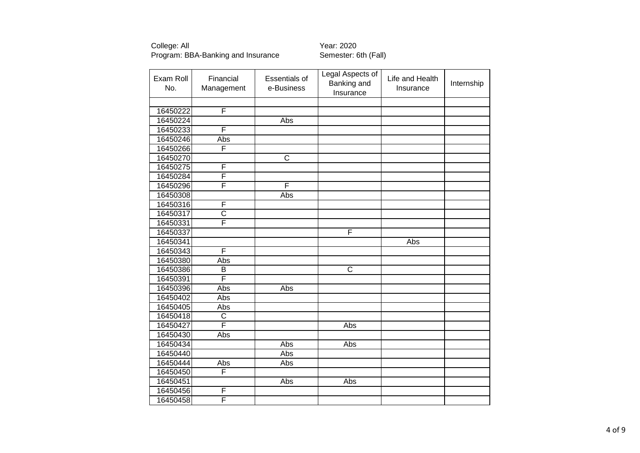| Exam Roll<br>No. | Financial<br>Management | <b>Essentials of</b><br>e-Business | <b>Legal Aspects of</b><br>Banking and<br>Insurance | Life and Health<br>Insurance | Internship |
|------------------|-------------------------|------------------------------------|-----------------------------------------------------|------------------------------|------------|
|                  |                         |                                    |                                                     |                              |            |
| 16450222         | F                       |                                    |                                                     |                              |            |
| 16450224         |                         | Abs                                |                                                     |                              |            |
| 16450233         | F                       |                                    |                                                     |                              |            |
| 16450246         | Abs                     |                                    |                                                     |                              |            |
| 16450266         | F                       |                                    |                                                     |                              |            |
| 16450270         |                         | $\overline{\mathsf{C}}$            |                                                     |                              |            |
| 16450275         | F                       |                                    |                                                     |                              |            |
| 16450284         | F                       |                                    |                                                     |                              |            |
| 16450296         | F                       | F                                  |                                                     |                              |            |
| 16450308         |                         | Abs                                |                                                     |                              |            |
| 16450316         | F                       |                                    |                                                     |                              |            |
| 16450317         | $\overline{\text{c}}$   |                                    |                                                     |                              |            |
| 16450331         | F                       |                                    |                                                     |                              |            |
| 16450337         |                         |                                    | F                                                   |                              |            |
| 16450341         |                         |                                    |                                                     | Abs                          |            |
| 16450343         | F                       |                                    |                                                     |                              |            |
| 16450380         | Abs                     |                                    |                                                     |                              |            |
| 16450386         | $\overline{B}$          |                                    | $\overline{\text{c}}$                               |                              |            |
| 16450391         | F                       |                                    |                                                     |                              |            |
| 16450396         | Abs                     | <b>Abs</b>                         |                                                     |                              |            |
| 16450402         | Abs                     |                                    |                                                     |                              |            |
| 16450405         | Abs                     |                                    |                                                     |                              |            |
| 16450418         | $\overline{\text{c}}$   |                                    |                                                     |                              |            |
| 16450427         | $\overline{\mathsf{F}}$ |                                    | Abs                                                 |                              |            |
| 16450430         | Abs                     |                                    |                                                     |                              |            |
| 16450434         |                         | Abs                                | Abs                                                 |                              |            |
| 16450440         |                         | Abs                                |                                                     |                              |            |
| 16450444         | Abs                     | Abs                                |                                                     |                              |            |
| 16450450         | F                       |                                    |                                                     |                              |            |
| 16450451         |                         | Abs                                | Abs                                                 |                              |            |
| 16450456         | F                       |                                    |                                                     |                              |            |
| 16450458         | F                       |                                    |                                                     |                              |            |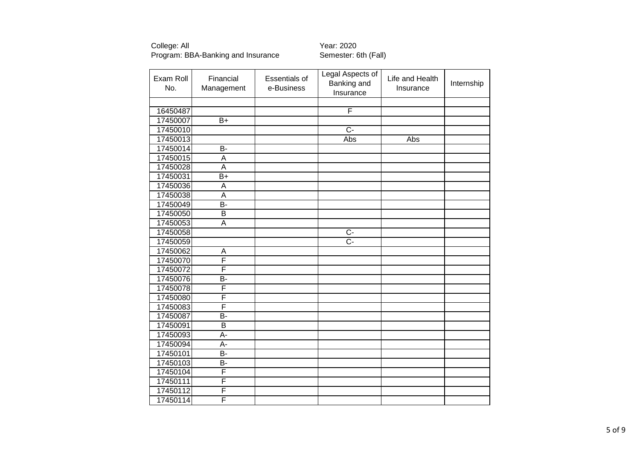College: All<br>Program: BBA-Banking and Insurance **The Semester: 6th (Fall)** Program: BBA-Banking and Insurance

| Exam Roll<br>No. | Financial<br>Management | Essentials of<br>e-Business | Legal Aspects of<br>Banking and<br>Insurance | Life and Health<br>Insurance | Internship |
|------------------|-------------------------|-----------------------------|----------------------------------------------|------------------------------|------------|
|                  |                         |                             |                                              |                              |            |
| 16450487         |                         |                             | F                                            |                              |            |
| 17450007         | $B+$                    |                             |                                              |                              |            |
| 17450010         |                         |                             | $\overline{C}$                               |                              |            |
| 17450013         |                         |                             | Abs                                          | Abs                          |            |
| 17450014         | B-                      |                             |                                              |                              |            |
| 17450015         | A                       |                             |                                              |                              |            |
| 17450028         | $\overline{\mathsf{A}}$ |                             |                                              |                              |            |
| 17450031         | $\overline{B+}$         |                             |                                              |                              |            |
| 17450036         | A                       |                             |                                              |                              |            |
| 17450038         | A                       |                             |                                              |                              |            |
| 17450049         | B-                      |                             |                                              |                              |            |
| 17450050         | B                       |                             |                                              |                              |            |
| 17450053         | $\overline{A}$          |                             |                                              |                              |            |
| 17450058         |                         |                             | Ċ-                                           |                              |            |
| 17450059         |                         |                             | $\overline{C}$ -                             |                              |            |
| 17450062         | A                       |                             |                                              |                              |            |
| 17450070         | F                       |                             |                                              |                              |            |
| 17450072         | F                       |                             |                                              |                              |            |
| 17450076         | B-                      |                             |                                              |                              |            |
| 17450078         | F                       |                             |                                              |                              |            |
| 17450080         | F                       |                             |                                              |                              |            |
| 17450083         | F                       |                             |                                              |                              |            |
| 17450087         | $\overline{B}$          |                             |                                              |                              |            |
| 17450091         | $\overline{B}$          |                             |                                              |                              |            |
| 17450093         | A-                      |                             |                                              |                              |            |
| 17450094         | $A -$                   |                             |                                              |                              |            |
| 17450101         | B-                      |                             |                                              |                              |            |
| 17450103         | B-                      |                             |                                              |                              |            |
| 17450104         | F                       |                             |                                              |                              |            |
| 17450111         | F                       |                             |                                              |                              |            |
| 17450112         | F                       |                             |                                              |                              |            |
| 17450114         | F                       |                             |                                              |                              |            |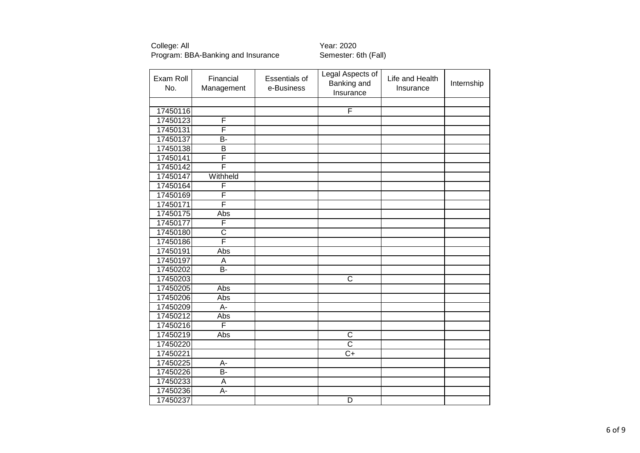College: All<br>Program: BBA-Banking and Insurance **The Semester: 6th (Fall)** Program: BBA-Banking and Insurance

| Exam Roll<br>No. | Financial<br>Management | Essentials of<br>e-Business | Legal Aspects of<br>Banking and<br>Insurance | Life and Health<br>Insurance | Internship |
|------------------|-------------------------|-----------------------------|----------------------------------------------|------------------------------|------------|
|                  |                         |                             |                                              |                              |            |
| 17450116         |                         |                             | F                                            |                              |            |
| 17450123         | F                       |                             |                                              |                              |            |
| 17450131         | F                       |                             |                                              |                              |            |
| 17450137         | <b>B-</b>               |                             |                                              |                              |            |
| 17450138         | B                       |                             |                                              |                              |            |
| 17450141         | F                       |                             |                                              |                              |            |
| 17450142         | F                       |                             |                                              |                              |            |
| 17450147         | Withheld                |                             |                                              |                              |            |
| 17450164         | F                       |                             |                                              |                              |            |
| 17450169         | F                       |                             |                                              |                              |            |
| 17450171         | F                       |                             |                                              |                              |            |
| 17450175         | Abs                     |                             |                                              |                              |            |
| 17450177         | F                       |                             |                                              |                              |            |
| 17450180         | $\overline{\text{c}}$   |                             |                                              |                              |            |
| 17450186         | F                       |                             |                                              |                              |            |
| 17450191         | Abs                     |                             |                                              |                              |            |
| 17450197         | A                       |                             |                                              |                              |            |
| 17450202         | <b>B-</b>               |                             |                                              |                              |            |
| 17450203         |                         |                             | C                                            |                              |            |
| 17450205         | Abs                     |                             |                                              |                              |            |
| 17450206         | Abs                     |                             |                                              |                              |            |
| 17450209         | $\overline{A}$ -        |                             |                                              |                              |            |
| 17450212         | Abs                     |                             |                                              |                              |            |
| 17450216         | F                       |                             |                                              |                              |            |
| 17450219         | Abs                     |                             | C                                            |                              |            |
| 17450220         |                         |                             | $\overline{\text{c}}$                        |                              |            |
| 17450221         |                         |                             | $C+$                                         |                              |            |
| 17450225         | A-                      |                             |                                              |                              |            |
| 17450226         | $\overline{B}$          |                             |                                              |                              |            |
| 17450233         | A                       |                             |                                              |                              |            |
| 17450236         | A-                      |                             |                                              |                              |            |
| 17450237         |                         |                             | $\overline{D}$                               |                              |            |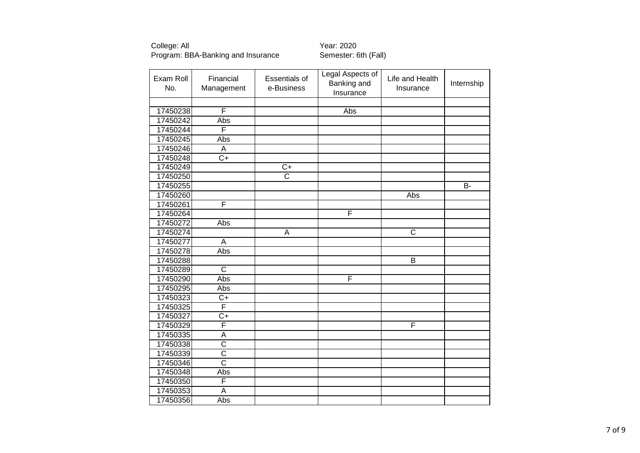| Exam Roll<br>No. | Financial<br>Management | <b>Essentials of</b><br>e-Business | <b>Legal Aspects of</b><br>Banking and<br>Insurance | Life and Health<br>Insurance | Internship |
|------------------|-------------------------|------------------------------------|-----------------------------------------------------|------------------------------|------------|
|                  |                         |                                    |                                                     |                              |            |
| 17450238         | F                       |                                    | Abs                                                 |                              |            |
| 17450242         | Abs                     |                                    |                                                     |                              |            |
| 17450244         | F                       |                                    |                                                     |                              |            |
| 17450245         | Abs                     |                                    |                                                     |                              |            |
| 17450246         | A                       |                                    |                                                     |                              |            |
| 17450248         | $\overline{C+}$         |                                    |                                                     |                              |            |
| 17450249         |                         | $C+$                               |                                                     |                              |            |
| 17450250         |                         | $\overline{\text{c}}$              |                                                     |                              |            |
| 17450255         |                         |                                    |                                                     |                              | <b>B-</b>  |
| 17450260         |                         |                                    |                                                     | Abs                          |            |
| 17450261         | F                       |                                    |                                                     |                              |            |
| 17450264         |                         |                                    | F                                                   |                              |            |
| 17450272         | Abs                     |                                    |                                                     |                              |            |
| 17450274         |                         | A                                  |                                                     | $\overline{\text{c}}$        |            |
| 17450277         | $\overline{A}$          |                                    |                                                     |                              |            |
| 17450278         | Abs                     |                                    |                                                     |                              |            |
| 17450288         |                         |                                    |                                                     | $\overline{\mathsf{B}}$      |            |
| 17450289         | $\overline{C}$          |                                    |                                                     |                              |            |
| 17450290         | Abs                     |                                    | F                                                   |                              |            |
| 17450295         | Abs                     |                                    |                                                     |                              |            |
| 17450323         | $C+$                    |                                    |                                                     |                              |            |
| 17450325         | $\overline{\mathsf{F}}$ |                                    |                                                     |                              |            |
| 17450327         | $\overline{C+}$         |                                    |                                                     |                              |            |
| 17450329         | F                       |                                    |                                                     | F                            |            |
| 17450335         | A                       |                                    |                                                     |                              |            |
| 17450338         | $\overline{\text{c}}$   |                                    |                                                     |                              |            |
| 17450339         | $\overline{\text{c}}$   |                                    |                                                     |                              |            |
| 17450346         | $\overline{\text{c}}$   |                                    |                                                     |                              |            |
| 17450348         | Abs                     |                                    |                                                     |                              |            |
| 17450350         | F                       |                                    |                                                     |                              |            |
| 17450353         | A                       |                                    |                                                     |                              |            |
| 17450356         | Abs                     |                                    |                                                     |                              |            |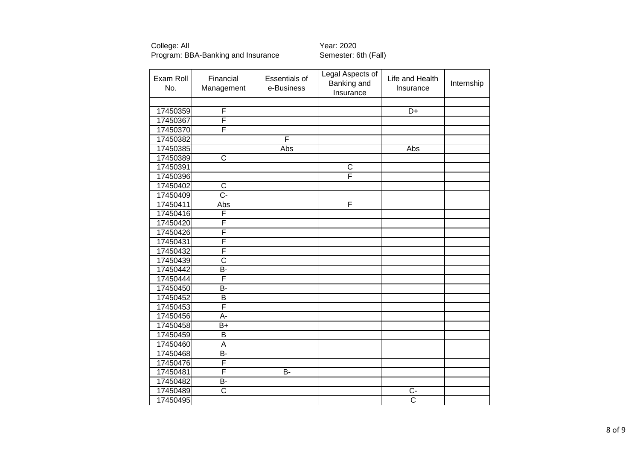| Exam Roll<br>No. | Financial<br>Management | <b>Essentials of</b><br>e-Business | <b>Legal Aspects of</b><br>Banking and<br>Insurance | Life and Health<br>Insurance | Internship |
|------------------|-------------------------|------------------------------------|-----------------------------------------------------|------------------------------|------------|
|                  |                         |                                    |                                                     |                              |            |
| 17450359         | F                       |                                    |                                                     | $\overline{D}$ +             |            |
| 17450367         | F                       |                                    |                                                     |                              |            |
| 17450370         | F                       |                                    |                                                     |                              |            |
| 17450382         |                         | F                                  |                                                     |                              |            |
| 17450385         |                         | Abs                                |                                                     | Abs                          |            |
| 17450389         | $\overline{\text{c}}$   |                                    |                                                     |                              |            |
| 17450391         |                         |                                    | $\mathsf C$                                         |                              |            |
| 17450396         |                         |                                    | Ē                                                   |                              |            |
| 17450402         | $\mathsf C$             |                                    |                                                     |                              |            |
| 17450409         | $\overline{C}$ -        |                                    |                                                     |                              |            |
| 17450411         | Abs                     |                                    | F                                                   |                              |            |
| 17450416         | F                       |                                    |                                                     |                              |            |
| 17450420         | F                       |                                    |                                                     |                              |            |
| 17450426         | F                       |                                    |                                                     |                              |            |
| 17450431         | F                       |                                    |                                                     |                              |            |
| 17450432         | F                       |                                    |                                                     |                              |            |
| 17450439         | $\overline{\text{c}}$   |                                    |                                                     |                              |            |
| 17450442         | <b>B-</b>               |                                    |                                                     |                              |            |
| 17450444         | F                       |                                    |                                                     |                              |            |
| 17450450         | B-                      |                                    |                                                     |                              |            |
| 17450452         | B                       |                                    |                                                     |                              |            |
| 17450453         | F                       |                                    |                                                     |                              |            |
| 17450456         | $\overline{A}$ -        |                                    |                                                     |                              |            |
| 17450458         | $\overline{B+}$         |                                    |                                                     |                              |            |
| 17450459         | $\overline{B}$          |                                    |                                                     |                              |            |
| 17450460         | $\overline{A}$          |                                    |                                                     |                              |            |
| 17450468         | B-                      |                                    |                                                     |                              |            |
| 17450476         | F                       |                                    |                                                     |                              |            |
| 17450481         | F                       | $\overline{B}$                     |                                                     |                              |            |
| 17450482         | B-                      |                                    |                                                     |                              |            |
| 17450489         | $\overline{\text{c}}$   |                                    |                                                     | $C -$                        |            |
| 17450495         |                         |                                    |                                                     | $\overline{\text{c}}$        |            |